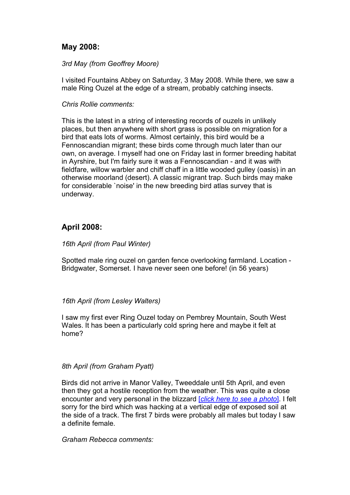## **May 2008:**

#### *3rd May (from Geoffrey Moore)*

I visited Fountains Abbey on Saturday, 3 May 2008. While there, we saw a male Ring Ouzel at the edge of a stream, probably catching insects.

#### *Chris Rollie comments:*

This is the latest in a string of interesting records of ouzels in unlikely places, but then anywhere with short grass is possible on migration for a bird that eats lots of worms. Almost certainly, this bird would be a Fennoscandian migrant; these birds come through much later than our own, on average. I myself had one on Friday last in former breeding habitat in Ayrshire, but I'm fairly sure it was a Fennoscandian - and it was with fieldfare, willow warbler and chiff chaff in a little wooded gulley (oasis) in an otherwise moorland (desert). A classic migrant trap. Such birds may make for considerable `noise' in the new breeding bird atlas survey that is underway.

## **April 2008:**

#### *16th April (from Paul Winter)*

Spotted male ring ouzel on garden fence overlooking farmland. Location - Bridgwater, Somerset. I have never seen one before! (in 56 years)

#### *16th April (from Lesley Walters)*

I saw my first ever Ring Ouzel today on Pembrey Mountain, South West Wales. It has been a particularly cold spring here and maybe it felt at home?

#### *8th April (from Graham Pyatt)*

Birds did not arrive in Manor Valley, Tweeddale until 5th April, and even then they got a hostile reception from the weather. This was quite a close encounter and very personal in the blizzard [*[click here to see a photo](http://www.ringouzel.info/images/Ring Ouzel in the snow.jpg)*]. I felt sorry for the bird which was hacking at a vertical edge of exposed soil at the side of a track. The first 7 birds were probably all males but today I saw a definite female.

*Graham Rebecca comments:*